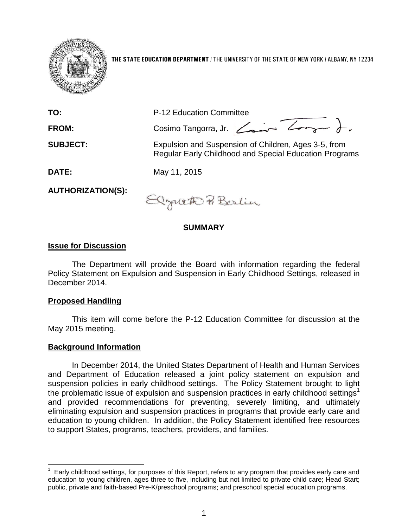

**THE STATE EDUCATION DEPARTMENT** / THE UNIVERSITY OF THE STATE OF NEW YORK / ALBANY, NY 12234

| TO:                      | P-12 Education Committee                                                                                              |
|--------------------------|-----------------------------------------------------------------------------------------------------------------------|
| FROM:                    | Cosimo Tangorra, Jr. Comme Longue                                                                                     |
| <b>SUBJECT:</b>          | Expulsion and Suspension of Children, Ages 3-5, from<br><b>Regular Early Childhood and Special Education Programs</b> |
| <b>DATE:</b>             | May 11, 2015                                                                                                          |
| <b>AUTHORIZATION(S):</b> | 0.1400                                                                                                                |

## **SUMMARY**

## **Issue for Discussion**

The Department will provide the Board with information regarding the federal Policy Statement on Expulsion and Suspension in Early Childhood Settings, released in December 2014.

## **Proposed Handling**

 $\overline{a}$ 

This item will come before the P-12 Education Committee for discussion at the May 2015 meeting.

## **Background Information**

In December 2014, the United States Department of Health and Human Services and Department of Education released a joint policy statement on expulsion and suspension policies in early childhood settings. The Policy Statement brought to light the problematic issue of expulsion and suspension practices in early childhood settings<sup>1</sup> and provided recommendations for preventing, severely limiting, and ultimately eliminating expulsion and suspension practices in programs that provide early care and education to young children. In addition, the Policy Statement identified free resources to support States, programs, teachers, providers, and families.

<sup>1</sup> Early childhood settings, for purposes of this Report, refers to any program that provides early care and education to young children, ages three to five, including but not limited to private child care; Head Start; public, private and faith-based Pre-K/preschool programs; and preschool special education programs.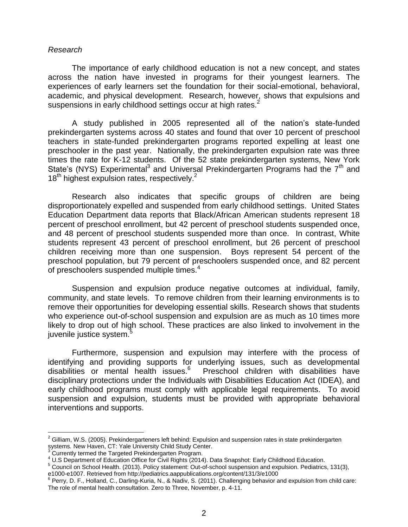#### *Research*

The importance of early childhood education is not a new concept, and states across the nation have invested in programs for their youngest learners. The experiences of early learners set the foundation for their social-emotional, behavioral, academic, and physical development. Research, however, shows that expulsions and suspensions in early childhood settings occur at high rates. $2^2$ 

A study published in 2005 represented all of the nation's state-funded prekindergarten systems across 40 states and found that over 10 percent of preschool teachers in state-funded prekindergarten programs reported expelling at least one preschooler in the past year. Nationally, the prekindergarten expulsion rate was three times the rate for K-12 students. Of the 52 state prekindergarten systems, New York State's (NYS) Experimental<sup>3</sup> and Universal Prekindergarten Programs had the  $7<sup>th</sup>$  and  $18<sup>th</sup>$  highest expulsion rates, respectively.<sup>2</sup>

Research also indicates that specific groups of children are being disproportionately expelled and suspended from early childhood settings. United States Education Department data reports that Black/African American students represent 18 percent of preschool enrollment, but 42 percent of preschool students suspended once, and 48 percent of preschool students suspended more than once. In contrast, White students represent 43 percent of preschool enrollment, but 26 percent of preschool children receiving more than one suspension. Boys represent 54 percent of the preschool population, but 79 percent of preschoolers suspended once, and 82 percent of preschoolers suspended multiple times.<sup>4</sup>

Suspension and expulsion produce negative outcomes at individual, family, community, and state levels. To remove children from their learning environments is to remove their opportunities for developing essential skills. Research shows that students who experience out-of-school suspension and expulsion are as much as 10 times more likely to drop out of high school. These practices are also linked to involvement in the juvenile justice system.<sup>5</sup>

Furthermore, suspension and expulsion may interfere with the process of identifying and providing supports for underlying issues, such as developmental disabilities or mental health issues.<sup>6</sup> Preschool children with disabilities have disciplinary protections under the Individuals with Disabilities Education Act (IDEA), and early childhood programs must comply with applicable legal requirements. To avoid suspension and expulsion, students must be provided with appropriate behavioral interventions and supports.

 $\overline{a}$ 

 $^2$  Gilliam, W.S. (2005). Prekindergarteners left behind: Expulsion and suspension rates in state prekindergarten systems. New Haven, CT: Yale University Child Study Center.<sup>3</sup><br><sup>3</sup> Currently terms: W. T

Currently termed the Targeted Prekindergarten Program.

<sup>4</sup> U.S Department of Education Office for Civil Rights (2014). Data Snapshot: Early Childhood Education.

<sup>5</sup> Council on School Health. (2013). Policy statement: Out-of-school suspension and expulsion. Pediatrics, 131(3), e1000-e1007. Retrieved from http://pediatrics.aappublications.org/content/131/3/e1000<br><sup>6</sup> Perry, D. F., Holland, C., Darling-Kuria, N., & Nadiv, S. (2011). Challenging behavior and expulsion from child care:

The role of mental health consultation. Zero to Three, November, p. 4-11.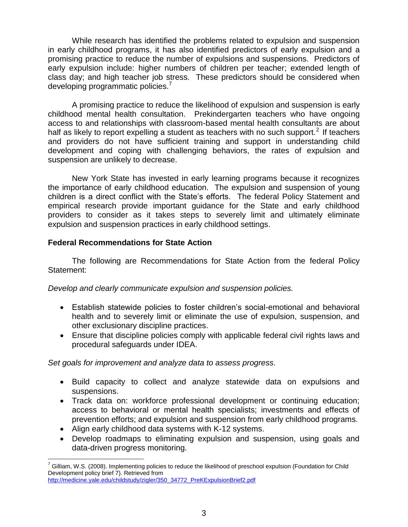While research has identified the problems related to expulsion and suspension in early childhood programs, it has also identified predictors of early expulsion and a promising practice to reduce the number of expulsions and suspensions. Predictors of early expulsion include: higher numbers of children per teacher; extended length of class day; and high teacher job stress. These predictors should be considered when developing programmatic policies.<sup>7</sup>

A promising practice to reduce the likelihood of expulsion and suspension is early childhood mental health consultation. Prekindergarten teachers who have ongoing access to and relationships with classroom-based mental health consultants are about half as likely to report expelling a student as teachers with no such support.<sup>2</sup> If teachers and providers do not have sufficient training and support in understanding child development and coping with challenging behaviors, the rates of expulsion and suspension are unlikely to decrease.

New York State has invested in early learning programs because it recognizes the importance of early childhood education. The expulsion and suspension of young children is a direct conflict with the State's efforts. The federal Policy Statement and empirical research provide important guidance for the State and early childhood providers to consider as it takes steps to severely limit and ultimately eliminate expulsion and suspension practices in early childhood settings.

# **Federal Recommendations for State Action**

The following are Recommendations for State Action from the federal Policy Statement:

*Develop and clearly communicate expulsion and suspension policies.*

- Establish statewide policies to foster children's social-emotional and behavioral health and to severely limit or eliminate the use of expulsion, suspension, and other exclusionary discipline practices.
- Ensure that discipline policies comply with applicable federal civil rights laws and procedural safeguards under IDEA.

*Set goals for improvement and analyze data to assess progress.*

- Build capacity to collect and analyze statewide data on expulsions and suspensions.
- Track data on: workforce professional development or continuing education; access to behavioral or mental health specialists; investments and effects of prevention efforts; and expulsion and suspension from early childhood programs.
- Align early childhood data systems with K-12 systems.
- Develop roadmaps to eliminating expulsion and suspension, using goals and data-driven progress monitoring.

 $\overline{a}$ 

 $^7$  Gilliam, W.S. (2008). Implementing policies to reduce the likelihood of preschool expulsion (Foundation for Child Development policy brief 7). Retrieved from

[http://medicine.yale.edu/childstudy/zigler/350\\_34772\\_PreKExpulsionBrief2.pdf](http://medicine.yale.edu/childstudy/zigler/350_34772_PreKExpulsionBrief2.pdf)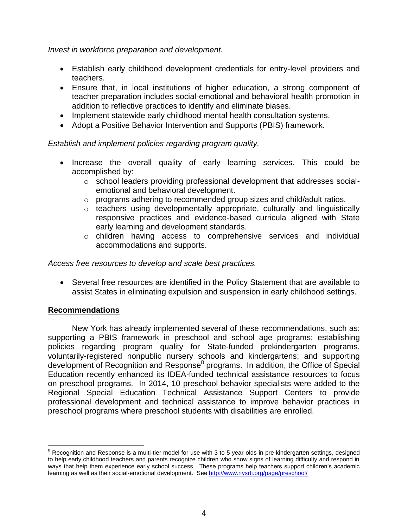*Invest in workforce preparation and development.*

- Establish early childhood development credentials for entry-level providers and teachers.
- Ensure that, in local institutions of higher education, a strong component of teacher preparation includes social-emotional and behavioral health promotion in addition to reflective practices to identify and eliminate biases.
- Implement statewide early childhood mental health consultation systems.
- Adopt a Positive Behavior Intervention and Supports (PBIS) framework.

## *Establish and implement policies regarding program quality.*

- Increase the overall quality of early learning services. This could be accomplished by:
	- $\circ$  school leaders providing professional development that addresses socialemotional and behavioral development.
	- o programs adhering to recommended group sizes and child/adult ratios.
	- o teachers using developmentally appropriate, culturally and linguistically responsive practices and evidence-based curricula aligned with State early learning and development standards.
	- o children having access to comprehensive services and individual accommodations and supports.

*Access free resources to develop and scale best practices.*

 Several free resources are identified in the Policy Statement that are available to assist States in eliminating expulsion and suspension in early childhood settings.

# **Recommendations**

 $\overline{a}$ 

New York has already implemented several of these recommendations, such as: supporting a PBIS framework in preschool and school age programs; establishing policies regarding program quality for State-funded prekindergarten programs, voluntarily-registered nonpublic nursery schools and kindergartens; and supporting development of Recognition and Response<sup>8</sup> programs. In addition, the Office of Special Education recently enhanced its IDEA-funded technical assistance resources to focus on preschool programs. In 2014, 10 preschool behavior specialists were added to the Regional Special Education Technical Assistance Support Centers to provide professional development and technical assistance to improve behavior practices in preschool programs where preschool students with disabilities are enrolled.

 $8$  Recognition and Response is a multi-tier model for use with 3 to 5 year-olds in pre-kindergarten settings, designed to help early childhood teachers and parents recognize children who show signs of learning difficulty and respond in ways that help them experience early school success. These programs help teachers support children's academic learning as well as their social-emotional development. Se[e http://www.nysrti.org/page/preschool/](http://www.nysrti.org/page/preschool/)